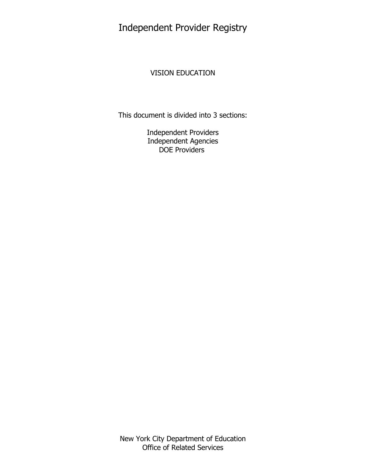Independent Provider Registry

# VISION EDUCATION

This document is divided into 3 sections:

Independent Providers Independent Agencies DOE Providers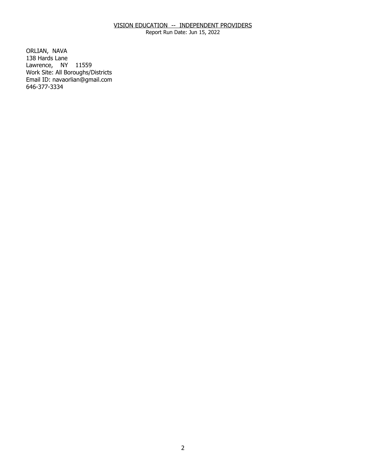Report Run Date: Jun 15, 2022

ORLIAN, NAVA Lawrence, NY 11559 138 Hards Lane Work Site: All Boroughs/Districts Email ID: [navaorlian@gmail.com](mailto:navaorlian@gmail.com)  646-377-3334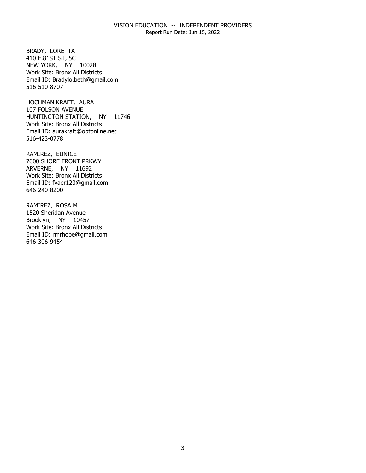Report Run Date: Jun 15, 2022

BRADY, LORETTA NEW YORK, NY 10028 410 E.81ST ST, 5C Work Site: Bronx All Districts Email ID: [Bradylo.beth@gmail.com](mailto:Bradylo.beth@gmail.com)  516-510-8707

HOCHMAN KRAFT, AURA HUNTINGTON STATION, NY 11746 107 FOLSON AVENUE Work Site: Bronx All Districts Email ID: [aurakraft@optonline.net](mailto:aurakraft@optonline.net)  516-423-0778

RAMIREZ, EUNICE ARVERNE, NY 11692 7600 SHORE FRONT PRKWY Work Site: Bronx All Districts Email ID: [fvaer123@gmail.com](mailto:fvaer123@gmail.com)  646-240-8200

RAMIREZ, ROSA M Brooklyn, NY 10457 1520 Sheridan Avenue Work Site: Bronx All Districts Email ID: [rmrhope@gmail.com](mailto:rmrhope@gmail.com)  646-306-9454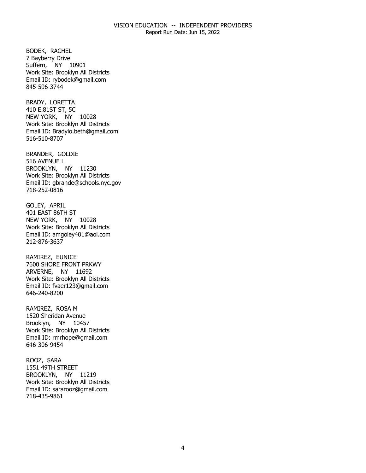Report Run Date: Jun 15, 2022

BODEK, RACHEL Suffern, NY 10901 7 Bayberry Drive Work Site: Brooklyn All Districts Email ID: [rybodek@gmail.com](mailto:rybodek@gmail.com) 845-596-3744

BRADY, LORETTA NEW YORK, NY 10028 410 E.81ST ST, 5C Work Site: Brooklyn All Districts Email ID: [Bradylo.beth@gmail.com](mailto:Bradylo.beth@gmail.com)  516-510-8707

BRANDER, GOLDIE<br>516 AVENUE L BROOKLYN, NY 11230 Work Site: Brooklyn All Districts Email ID: [gbrande@schools.nyc.gov](mailto:gbrande@schools.nyc.gov)  718-252-0816

GOLEY, APRIL NEW YORK, NY 10028 401 EAST 86TH ST Work Site: Brooklyn All Districts Email ID: [amgoley401@aol.com](mailto:amgoley401@aol.com)  212-876-3637

RAMIREZ, EUNICE ARVERNE, NY 11692 7600 SHORE FRONT PRKWY Work Site: Brooklyn All Districts Email ID: [fvaer123@gmail.com](mailto:fvaer123@gmail.com)  646-240-8200

RAMIREZ, ROSA M Brooklyn, NY 10457 1520 Sheridan Avenue Work Site: Brooklyn All Districts Email ID: [rmrhope@gmail.com](mailto:rmrhope@gmail.com)  646-306-9454

ROOZ, SARA BROOKLYN, NY 11219 1551 49TH STREET Work Site: Brooklyn All Districts Email ID: [sararooz@gmail.com](mailto:sararooz@gmail.com)  718-435-9861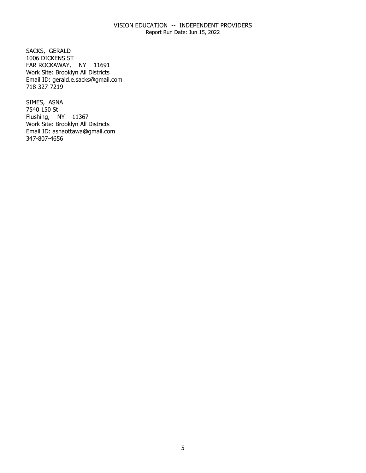Report Run Date: Jun 15, 2022

SACKS, GERALD FAR ROCKAWAY, NY 11691 1006 DICKENS ST Work Site: Brooklyn All Districts Email ID: [gerald.e.sacks@gmail.com](mailto:gerald.e.sacks@gmail.com)  718-327-7219

SIMES, ASNA Flushing, NY 11367 7540 150 St Work Site: Brooklyn All Districts Email ID: [asnaottawa@gmail.com](mailto:asnaottawa@gmail.com)  347-807-4656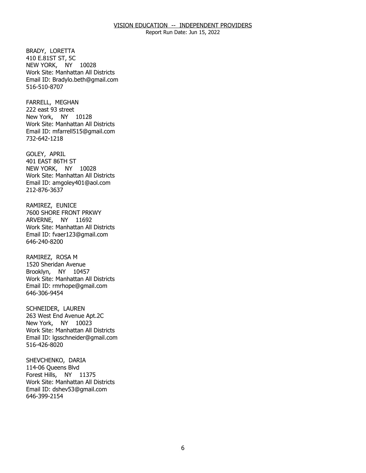Report Run Date: Jun 15, 2022

BRADY, LORETTA NEW YORK, NY 10028 410 E.81ST ST, 5C Work Site: Manhattan All Districts Email ID: [Bradylo.beth@gmail.com](mailto:Bradylo.beth@gmail.com)  516-510-8707

FARRELL, MEGHAN New York, NY 10128 222 east 93 street Work Site: Manhattan All Districts Email ID: [mfarrell515@gmail.com](mailto:mfarrell515@gmail.com) 732-642-1218

GOLEY, APRIL NEW YORK, NY 10028 401 EAST 86TH ST Work Site: Manhattan All Districts Email ID: [amgoley401@aol.com](mailto:amgoley401@aol.com)  212-876-3637

RAMIREZ, EUNICE ARVERNE, NY 11692 7600 SHORE FRONT PRKWY Work Site: Manhattan All Districts Email ID: [fvaer123@gmail.com](mailto:fvaer123@gmail.com)  646-240-8200

RAMIREZ, ROSA M Brooklyn, NY 10457 1520 Sheridan Avenue Work Site: Manhattan All Districts Email ID: [rmrhope@gmail.com](mailto:rmrhope@gmail.com)  646-306-9454

SCHNEIDER, LAUREN New York, NY 10023 263 West End Avenue Apt.2C Work Site: Manhattan All Districts Email ID: [lgsschneider@gmail.com](mailto:lgsschneider@gmail.com)  516-426-8020

SHEVCHENKO, DARIA<br>114-06 Queens Blvd Forest Hills, NY 11375 Work Site: Manhattan All Districts Email ID: [dshev53@gmail.com](mailto:dshev53@gmail.com)  646-399-2154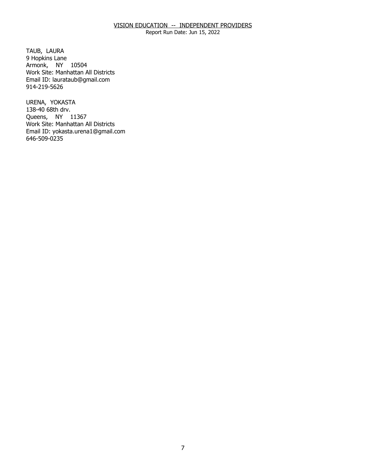Report Run Date: Jun 15, 2022

TAUB, LAURA Armonk, NY 10504 9 Hopkins Lane Work Site: Manhattan All Districts Email ID: [laurataub@gmail.com](mailto:laurataub@gmail.com)  914-219-5626

URENA, YOKASTA Queens, NY 11367 138-40 68th drv. Work Site: Manhattan All Districts Email ID: [yokasta.urena1@gmail.com](mailto:yokasta.urena1@gmail.com)  646-509-0235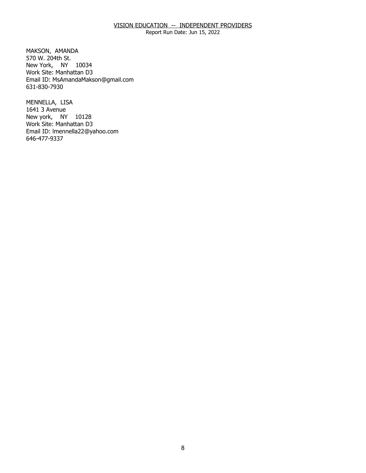Report Run Date: Jun 15, 2022

MAKSON, AMANDA New York, NY 10034 570 W. 204th St. Work Site: Manhattan D3 Email ID: [MsAmandaMakson@gmail.com](mailto:MsAmandaMakson@gmail.com)  631-830-7930

MENNELLA, LISA New york, NY 10128 1641 3 Avenue Work Site: Manhattan D3 Email ID: [lmennella22@yahoo.com](mailto:lmennella22@yahoo.com) 646-477-9337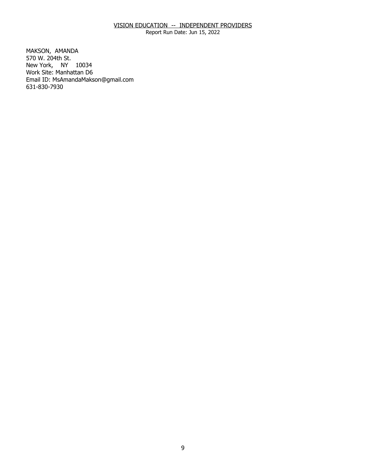Report Run Date: Jun 15, 2022

MAKSON, AMANDA New York, NY 10034 570 W. 204th St. Work Site: Manhattan D6 Email ID: [MsAmandaMakson@gmail.com](mailto:MsAmandaMakson@gmail.com)  631-830-7930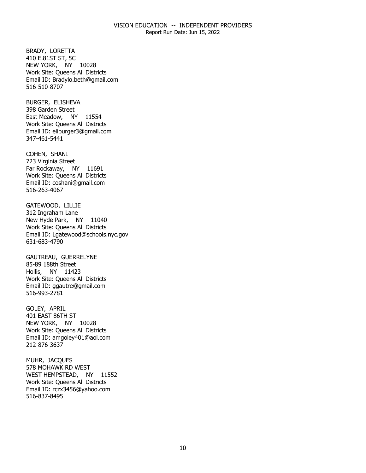Report Run Date: Jun 15, 2022

BRADY, LORETTA NEW YORK, NY 10028 410 E.81ST ST, 5C Work Site: Queens All Districts Email ID: [Bradylo.beth@gmail.com](mailto:Bradylo.beth@gmail.com)  516-510-8707

BURGER, ELISHEVA East Meadow, NY 11554 398 Garden Street Work Site: Queens All Districts Email ID: [eliburger3@gmail.com](mailto:eliburger3@gmail.com)  347-461-5441

COHEN, SHANI Far Rockaway, NY 11691 723 Virginia Street Work Site: Queens All Districts Email ID: [coshani@gmail.com](mailto:coshani@gmail.com) 516-263-4067

GATEWOOD, LILLIE New Hyde Park, NY 11040 312 Ingraham Lane Work Site: Queens All Districts Email ID: [Lgatewood@schools.nyc.gov](mailto:Lgatewood@schools.nyc.gov)  631-683-4790

GAUTREAU, GUERRELYNE<br>85-89 188th Street Hollis, NY 11423 Work Site: Queens All Districts Email ID: [ggautre@gmail.com](mailto:ggautre@gmail.com) 516-993-2781

GOLEY, APRIL NEW YORK, NY 10028 401 EAST 86TH ST Work Site: Queens All Districts Email ID: [amgoley401@aol.com](mailto:amgoley401@aol.com)  212-876-3637

MUHR, JACQUES WEST HEMPSTEAD, NY 11552 578 MOHAWK RD WEST Work Site: Queens All Districts Email ID: [rczx3456@yahoo.com](mailto:rczx3456@yahoo.com)  516-837-8495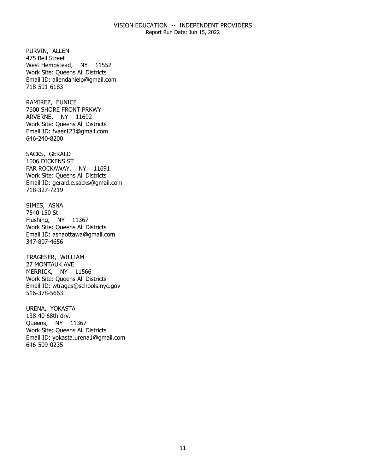Report Run Date: Jun 15, 2022

PURVIN, ALLEN West Hempstead, NY 11552 475 Bell Street Work Site: Queens All Districts Email ID: [allendanielp@gmail.com](mailto:allendanielp@gmail.com)  718-591-6183

RAMIREZ, EUNICE ARVERNE, NY 11692 7600 SHORE FRONT PRKWY Work Site: Queens All Districts Email ID: [fvaer123@gmail.com](mailto:fvaer123@gmail.com)  646-240-8200

SACKS, GERALD FAR ROCKAWAY, NY 11691 1006 DICKENS ST Work Site: Queens All Districts Email ID: [gerald.e.sacks@gmail.com](mailto:gerald.e.sacks@gmail.com)  718-327-7219

SIMES, ASNA<br>7540 150 St Flushing, NY 11367 Work Site: Queens All Districts Email ID: [asnaottawa@gmail.com](mailto:asnaottawa@gmail.com)  347-807-4656

TRAGESER, WILLIAM MERRICK, NY 11566 27 MONTAUK AVE Work Site: Queens All Districts Email ID: [wtrages@schools.nyc.gov](mailto:wtrages@schools.nyc.gov) 516-378-5663

URENA, YOKASTA Queens, NY 11367 138-40 68th drv. Work Site: Queens All Districts Email ID: [yokasta.urena1@gmail.com](mailto:yokasta.urena1@gmail.com)  646-509-0235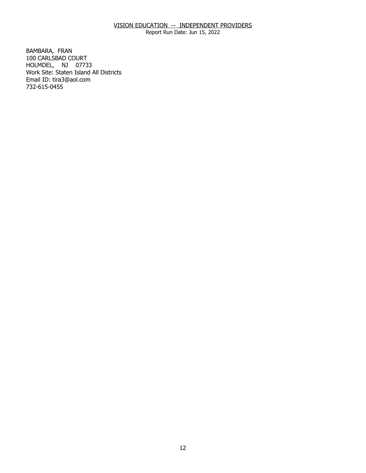Report Run Date: Jun 15, 2022

BAMBARA, FRAN HOLMDEL, NJ 07733 100 CARLSBAD COURT Work Site: Staten Island All Districts Email ID: [tira3@aol.com](mailto:tira3@aol.com) 732-615-0455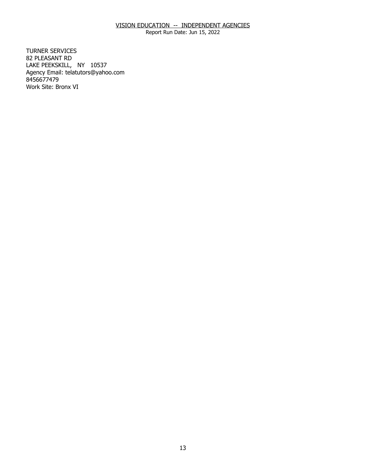Report Run Date: Jun 15, 2022

**TURNER SERVICES** 82 PLEASANT RD TURNER SERVICES<br>82 PLEASANT RD<br>LAKE PEEKSKILL, NY 10537 Agency Email: [telatutors@yahoo.com](mailto:telatutors@yahoo.com) 8456677479 Work Site: Bronx VI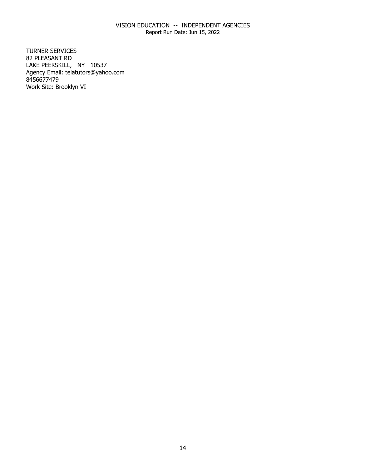Report Run Date: Jun 15, 2022

**TURNER SERVICES** 82 PLEASANT RD TURNER SERVICES<br>82 PLEASANT RD<br>LAKE PEEKSKILL, NY 10537 Agency Email: [telatutors@yahoo.com](mailto:telatutors@yahoo.com) 8456677479 Work Site: Brooklyn VI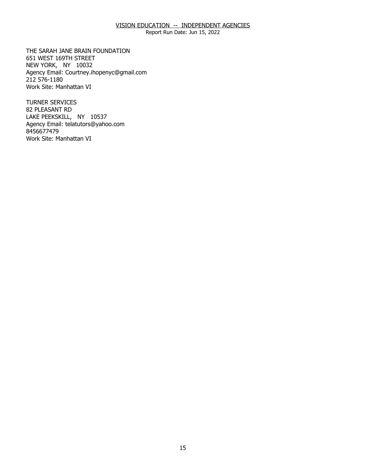Report Run Date: Jun 15, 2022

THE SARAH JANE BRAIN FOUNDATION<br>651 WEST 169TH STREET<br>NEW YORK, NY 10032 651 WEST 169TH STREET NEW YORK, NY 10032 Agency Email: [Courtney.ihopenyc@gmail.com](mailto:Courtney.ihopenyc@gmail.com)  212 576-1180 Work Site: Manhattan VI

**TURNER SERVICES** 82 PLEASANT RD TURNER SERVICES<br>82 PLEASANT RD<br>LAKE PEEKSKILL, NY 10537 Agency Email: [telatutors@yahoo.com](mailto:telatutors@yahoo.com) 8456677479 Work Site: Manhattan VI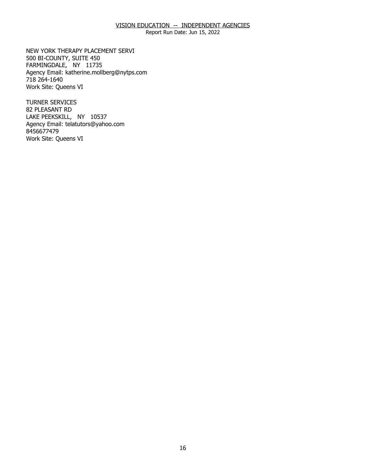Report Run Date: Jun 15, 2022

NEW YORK THERAPY PLACEMENT SERVI 500 BI-COUNTY, SUITE 450 NEW YORK THERAPY PLACEMENT SERVI<br>500 BI-COUNTY, SUITE 450<br>FARMINGDALE, NY 11735 Agency Email: [katherine.mollberg@nytps.com](mailto:katherine.mollberg@nytps.com) 718 264-1640 Work Site: Queens VI

**TURNER SERVICES** 82 PLEASANT RD TURNER SERVICES<br>82 PLEASANT RD<br>LAKE PEEKSKILL, NY 10537 Agency Email: [telatutors@yahoo.com](mailto:telatutors@yahoo.com) 8456677479 Work Site: Queens VI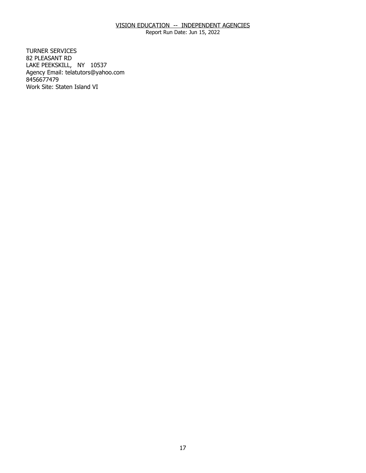Report Run Date: Jun 15, 2022

**TURNER SERVICES** 82 PLEASANT RD TURNER SERVICES<br>82 PLEASANT RD<br>LAKE PEEKSKILL, NY 10537 Agency Email: [telatutors@yahoo.com](mailto:telatutors@yahoo.com) 8456677479 Work Site: Staten Island VI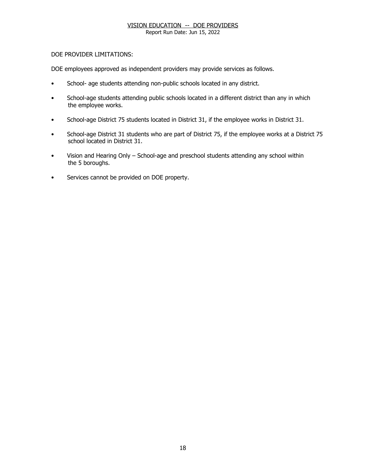Report Run Date: Jun 15, 2022

## DOE PROVIDER LIMITATIONS:

DOE employees approved as independent providers may provide services as follows.

- School- age students attending non-public schools located in any district.
- School-age students attending public schools located in a different district than any in which the employee works.
- School-age District 75 students located in District 31, if the employee works in District 31.
- School-age District 31 students who are part of District 75, if the employee works at a District 75 school located in District 31.
- Vision and Hearing Only School-age and preschool students attending any school within the 5 boroughs.
- Services cannot be provided on DOE property.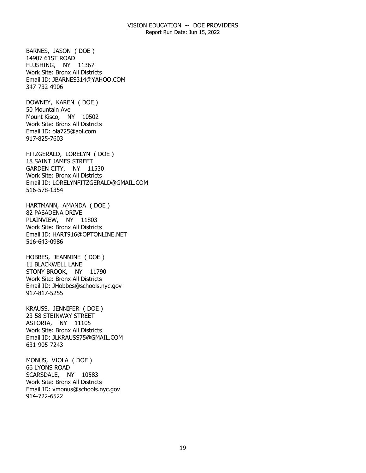Report Run Date: Jun 15, 2022

 FLUSHING, NY 11367 BARNES, JASON ( DOE ) 14907 61ST ROAD Work Site: Bronx All Districts Email ID: [JBARNES314@YAHOO.COM](mailto:JBARNES314@YAHOO.COM)  347-732-4906

 Mount Kisco, NY 10502 DOWNEY, KAREN ( DOE ) 50 Mountain Ave Work Site: Bronx All Districts Email ID: [ola725@aol.com](mailto:ola725@aol.com)  917-825-7603

 GARDEN CITY, NY 11530 FITZGERALD, LORELYN ( DOE ) 18 SAINT JAMES STREET Work Site: Bronx All Districts Email ID: [LORELYNFITZGERALD@GMAIL.COM](mailto:LORELYNFITZGERALD@GMAIL.COM)  516-578-1354

 PLAINVIEW, NY 11803 HARTMANN, AMANDA ( DOE ) 82 PASADENA DRIVE Work Site: Bronx All Districts Email ID: [HART916@OPTONLINE.NET](mailto:HART916@OPTONLINE.NET)  516-643-0986

 STONY BROOK, NY 11790 HOBBES, JEANNINE ( DOE ) 11 BLACKWELL LANE Work Site: Bronx All Districts Email ID: [JHobbes@schools.nyc.gov](mailto:JHobbes@schools.nyc.gov)  917-817-5255

 ASTORIA, NY 11105 KRAUSS, JENNIFER ( DOE ) 23-58 STEINWAY STREET Work Site: Bronx All Districts Email ID: [JLKRAUSS75@GMAIL.COM](mailto:JLKRAUSS75@GMAIL.COM)  631-905-7243

 SCARSDALE, NY 10583 MONUS, VIOLA ( DOE ) 66 LYONS ROAD Work Site: Bronx All Districts Email ID: [vmonus@schools.nyc.gov](mailto:vmonus@schools.nyc.gov)  914-722-6522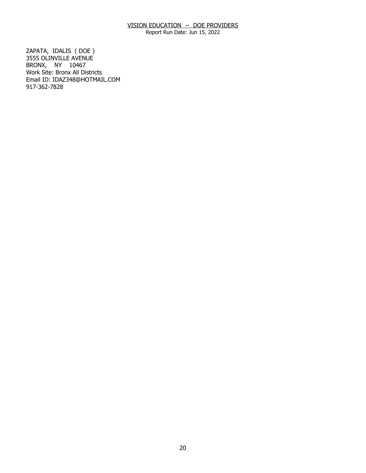Report Run Date: Jun 15, 2022

 BRONX, NY 10467 ZAPATA, IDALIS ( DOE ) 3555 OLINVILLE AVENUE Work Site: Bronx All Districts Email ID: [IDAZ348@HOTMAIL.COM](mailto:IDAZ348@HOTMAIL.COM) 917-362-7828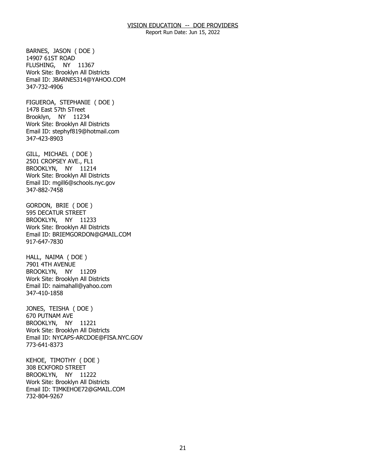Report Run Date: Jun 15, 2022

 FLUSHING, NY 11367 BARNES, JASON ( DOE ) 14907 61ST ROAD Work Site: Brooklyn All Districts Email ID: [JBARNES314@YAHOO.COM](mailto:JBARNES314@YAHOO.COM)  347-732-4906

 Brooklyn, NY 11234 FIGUEROA, STEPHANIE ( DOE ) 1478 East 57th STreet Work Site: Brooklyn All Districts Email ID: [stephyf819@hotmail.com](mailto:stephyf819@hotmail.com)  347-423-8903

 BROOKLYN, NY 11214 GILL, MICHAEL ( DOE ) 2501 CROPSEY AVE., FL1 Work Site: Brooklyn All Districts Email ID: [mgill6@schools.nyc.gov](mailto:mgill6@schools.nyc.gov)  347-882-7458

 BROOKLYN, NY 11233 GORDON, BRIE ( DOE ) 595 DECATUR STREET Work Site: Brooklyn All Districts Email ID: [BRIEMGORDON@GMAIL.COM](mailto:BRIEMGORDON@GMAIL.COM)  917-647-7830

 BROOKLYN, NY 11209 HALL, NAIMA ( DOE ) 7901 4TH AVENUE Work Site: Brooklyn All Districts Email ID: [naimahall@yahoo.com](mailto:naimahall@yahoo.com) 347-410-1858

 BROOKLYN, NY 11221 JONES, TEISHA ( DOE ) 670 PUTNAM AVE Work Site: Brooklyn All Districts Email ID: [NYCAPS-ARCDOE@FISA.NYC.GOV](mailto:NYCAPS-ARCDOE@FISA.NYC.GOV)  773-641-8373

 BROOKLYN, NY 11222 KEHOE, TIMOTHY ( DOE ) 308 ECKFORD STREET Work Site: Brooklyn All Districts Email ID: [TIMKEHOE72@GMAIL.COM](mailto:TIMKEHOE72@GMAIL.COM) 732-804-9267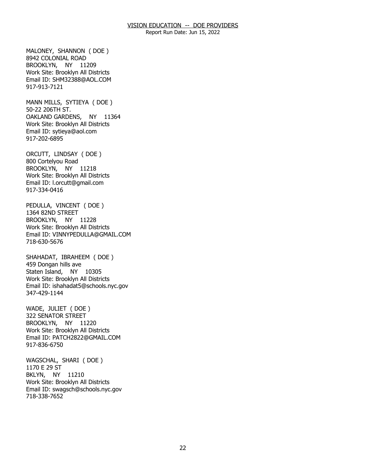Report Run Date: Jun 15, 2022

 BROOKLYN, NY 11209 MALONEY, SHANNON ( DOE ) 8942 COLONIAL ROAD Work Site: Brooklyn All Districts Email ID: [SHM32388@AOL.COM](mailto:SHM32388@AOL.COM) 917-913-7121

 OAKLAND GARDENS, NY 11364 MANN MILLS, SYTIEYA ( DOE ) 50-22 206TH ST. Work Site: Brooklyn All Districts Email ID: [sytieya@aol.com](mailto:sytieya@aol.com)  917-202-6895

 BROOKLYN, NY 11218 ORCUTT, LINDSAY ( DOE ) 800 Cortelyou Road Work Site: Brooklyn All Districts Email ID: [l.orcutt@gmail.com](mailto:l.orcutt@gmail.com) 917-334-0416

 BROOKLYN, NY 11228 PEDULLA, VINCENT ( DOE ) 1364 82ND STREET Work Site: Brooklyn All Districts Email ID: [VINNYPEDULLA@GMAIL.COM](mailto:VINNYPEDULLA@GMAIL.COM) 718-630-5676

 Staten Island, NY 10305 SHAHADAT, IBRAHEEM ( DOE ) 459 Dongan hills ave Work Site: Brooklyn All Districts Email ID: [ishahadat5@schools.nyc.gov](mailto:ishahadat5@schools.nyc.gov) 347-429-1144

 BROOKLYN, NY 11220 WADE, JULIET ( DOE ) 322 SENATOR STREET Work Site: Brooklyn All Districts Email ID: [PATCH2822@GMAIL.COM](mailto:PATCH2822@GMAIL.COM)  917-836-6750

 BKLYN, NY 11210 WAGSCHAL, SHARI ( DOE ) 1170 E 29 ST Work Site: Brooklyn All Districts Email ID: [swagsch@schools.nyc.gov](mailto:swagsch@schools.nyc.gov)  718-338-7652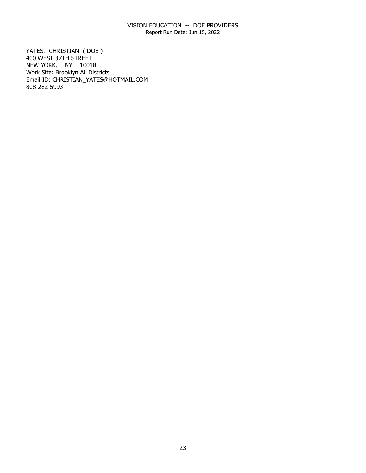Report Run Date: Jun 15, 2022

 NEW YORK, NY 10018 YATES, CHRISTIAN (DOE) 400 WEST 37TH STREET Work Site: Brooklyn All Districts Email ID: [CHRISTIAN\\_YATES@HOTMAIL.COM](mailto:CHRISTIAN_YATES@HOTMAIL.COM)  808-282-5993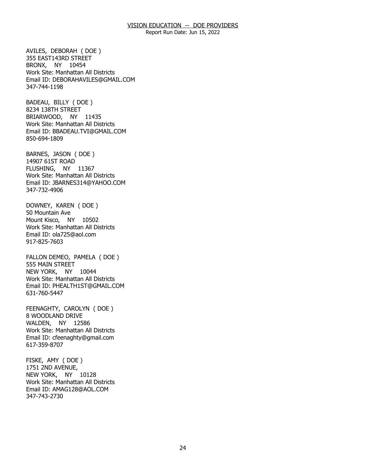Report Run Date: Jun 15, 2022

 BRONX, NY 10454 AVILES, DEBORAH ( DOE ) 355 EAST143RD STREET Work Site: Manhattan All Districts Email ID: [DEBORAHAVILES@GMAIL.COM](mailto:DEBORAHAVILES@GMAIL.COM) 347-744-1198

 BRIARWOOD, NY 11435 BADEAU, BILLY ( DOE ) 8234 138TH STREET Work Site: Manhattan All Districts Email ID: [BBADEAU.TVI@GMAIL.COM](mailto:BBADEAU.TVI@GMAIL.COM) 850-694-1809

 FLUSHING, NY 11367 BARNES, JASON ( DOE ) 14907 61ST ROAD Work Site: Manhattan All Districts Email ID: [JBARNES314@YAHOO.COM](mailto:JBARNES314@YAHOO.COM)  347-732-4906

 Mount Kisco, NY 10502 DOWNEY, KAREN ( DOE ) 50 Mountain Ave Work Site: Manhattan All Districts Email ID: [ola725@aol.com](mailto:ola725@aol.com)  917-825-7603

 NEW YORK, NY 10044 FALLON DEMEO, PAMELA ( DOE ) 555 MAIN STREET Work Site: Manhattan All Districts Email ID: [PHEALTH1ST@GMAIL.COM](mailto:PHEALTH1ST@GMAIL.COM) 631-760-5447

 WALDEN, NY 12586 FEENAGHTY, CAROLYN ( DOE ) 8 WOODLAND DRIVE Work Site: Manhattan All Districts Email ID: [cfeenaghty@gmail.com](mailto:cfeenaghty@gmail.com)  617-359-8707

 NEW YORK, NY 10128 FISKE, AMY ( DOE ) 1751 2ND AVENUE, Work Site: Manhattan All Districts Email ID: [AMAG128@AOL.COM](mailto:AMAG128@AOL.COM)  347-743-2730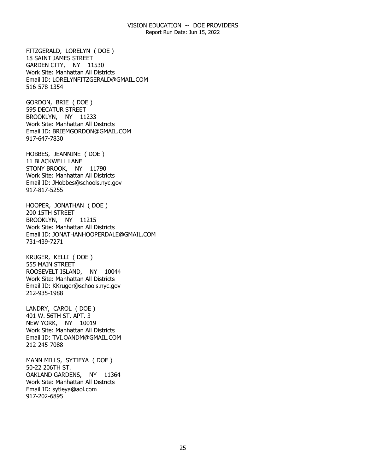Report Run Date: Jun 15, 2022

 GARDEN CITY, NY 11530 FITZGERALD, LORELYN ( DOE ) 18 SAINT JAMES STREET Work Site: Manhattan All Districts Email ID: [LORELYNFITZGERALD@GMAIL.COM](mailto:LORELYNFITZGERALD@GMAIL.COM)  516-578-1354

 BROOKLYN, NY 11233 GORDON, BRIE ( DOE ) 595 DECATUR STREET Work Site: Manhattan All Districts Email ID: [BRIEMGORDON@GMAIL.COM](mailto:BRIEMGORDON@GMAIL.COM)  917-647-7830

 STONY BROOK, NY 11790 HOBBES, JEANNINE ( DOE ) 11 BLACKWELL LANE Work Site: Manhattan All Districts Email ID: [JHobbes@schools.nyc.gov](mailto:JHobbes@schools.nyc.gov)  917-817-5255

 BROOKLYN, NY 11215 HOOPER, JONATHAN ( DOE ) 200 15TH STREET Work Site: Manhattan All Districts Email ID: [JONATHANHOOPERDALE@GMAIL.COM](mailto:JONATHANHOOPERDALE@GMAIL.COM)  731-439-7271

 ROOSEVELT ISLAND, NY 10044 KRUGER, KELLI ( DOE ) 555 MAIN STREET Work Site: Manhattan All Districts Email ID: [KKruger@schools.nyc.gov](mailto:KKruger@schools.nyc.gov)  212-935-1988

 NEW YORK, NY 10019 LANDRY, CAROL ( DOE ) 401 W. 56TH ST. APT. 3 Work Site: Manhattan All Districts Email ID: [TVI.OANDM@GMAIL.COM](mailto:TVI.OANDM@GMAIL.COM)  212-245-7088

 OAKLAND GARDENS, NY 11364 MANN MILLS, SYTIEYA ( DOE ) 50-22 206TH ST. Work Site: Manhattan All Districts Email ID: [sytieya@aol.com](mailto:sytieya@aol.com)  917-202-6895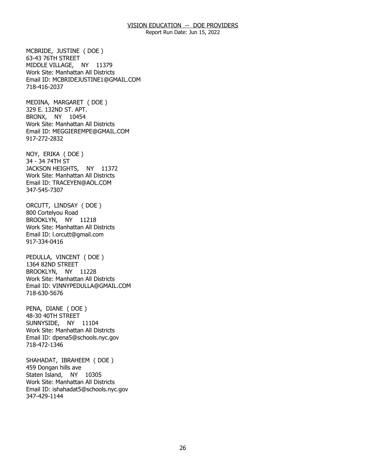Report Run Date: Jun 15, 2022

 MIDDLE VILLAGE, NY 11379 MCBRIDE, JUSTINE ( DOE ) 63-43 76TH STREET Work Site: Manhattan All Districts Email ID: [MCBRIDEJUSTINE1@GMAIL.COM](mailto:MCBRIDEJUSTINE1@GMAIL.COM) 718-416-2037

 BRONX, NY 10454 MEDINA, MARGARET ( DOE ) 329 E. 132ND ST. APT. Work Site: Manhattan All Districts Email ID: [MEGGIEREMPE@GMAIL.COM](mailto:MEGGIEREMPE@GMAIL.COM)  917-272-2832

 JACKSON HEIGHTS, NY 11372 NOY, ERIKA ( DOE ) 34 - 34 74TH ST Work Site: Manhattan All Districts Email ID: [TRACEYEN@AOL.COM](mailto:TRACEYEN@AOL.COM)  347-545-7307

 BROOKLYN, NY 11218 ORCUTT, LINDSAY ( DOE ) 800 Cortelyou Road Work Site: Manhattan All Districts Email ID: [l.orcutt@gmail.com](mailto:l.orcutt@gmail.com) 917-334-0416

 BROOKLYN, NY 11228 PEDULLA, VINCENT ( DOE ) 1364 82ND STREET Work Site: Manhattan All Districts Email ID: [VINNYPEDULLA@GMAIL.COM](mailto:VINNYPEDULLA@GMAIL.COM) 718-630-5676

 SUNNYSIDE, NY 11104 PENA, DIANE ( DOE ) 48-30 40TH STREET Work Site: Manhattan All Districts Email ID: [dpena5@schools.nyc.gov](mailto:dpena5@schools.nyc.gov) 718-472-1346

 Staten Island, NY 10305 SHAHADAT, IBRAHEEM ( DOE ) 459 Dongan hills ave Work Site: Manhattan All Districts Email ID: [ishahadat5@schools.nyc.gov](mailto:ishahadat5@schools.nyc.gov) 347-429-1144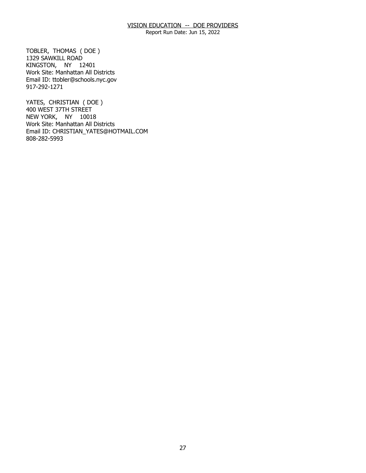Report Run Date: Jun 15, 2022

 KINGSTON, NY 12401 TOBLER, THOMAS ( DOE ) 1329 SAWKILL ROAD Work Site: Manhattan All Districts Email ID: [ttobler@schools.nyc.gov](mailto:ttobler@schools.nyc.gov) 917-292-1271

 NEW YORK, NY 10018 YATES, CHRISTIAN ( DOE ) 400 WEST 37TH STREET Work Site: Manhattan All Districts Email ID: [CHRISTIAN\\_YATES@HOTMAIL.COM](mailto:CHRISTIAN_YATES@HOTMAIL.COM)  808-282-5993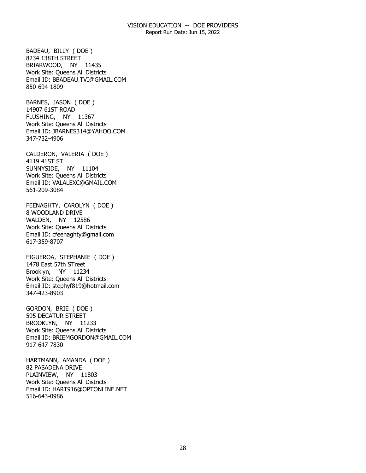Report Run Date: Jun 15, 2022

 BRIARWOOD, NY 11435 BADEAU, BILLY ( DOE ) 8234 138TH STREET Work Site: Queens All Districts Email ID: [BBADEAU.TVI@GMAIL.COM](mailto:BBADEAU.TVI@GMAIL.COM) 850-694-1809

 FLUSHING, NY 11367 BARNES, JASON ( DOE ) 14907 61ST ROAD Work Site: Queens All Districts Email ID: [JBARNES314@YAHOO.COM](mailto:JBARNES314@YAHOO.COM)  347-732-4906

 SUNNYSIDE, NY 11104 CALDERON, VALERIA ( DOE ) 4119 41ST ST Work Site: Queens All Districts Email ID: [VALALEXC@GMAIL.COM](mailto:VALALEXC@GMAIL.COM) 561-209-3084

 WALDEN, NY 12586 FEENAGHTY, CAROLYN ( DOE ) 8 WOODLAND DRIVE Work Site: Queens All Districts Email ID: [cfeenaghty@gmail.com](mailto:cfeenaghty@gmail.com)  617-359-8707

 Brooklyn, NY 11234 FIGUEROA, STEPHANIE ( DOE ) 1478 East 57th STreet Work Site: Queens All Districts Email ID: [stephyf819@hotmail.com](mailto:stephyf819@hotmail.com)  347-423-8903

 BROOKLYN, NY 11233 GORDON, BRIE ( DOE ) 595 DECATUR STREET Work Site: Queens All Districts Email ID: [BRIEMGORDON@GMAIL.COM](mailto:BRIEMGORDON@GMAIL.COM)  917-647-7830

 PLAINVIEW, NY 11803 HARTMANN, AMANDA ( DOE ) 82 PASADENA DRIVE Work Site: Queens All Districts Email ID: [HART916@OPTONLINE.NET](mailto:HART916@OPTONLINE.NET)  516-643-0986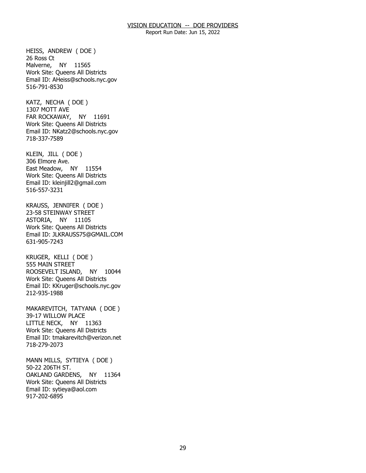Report Run Date: Jun 15, 2022

 Malverne, NY 11565 HEISS, ANDREW ( DOE ) 26 Ross Ct Work Site: Queens All Districts Email ID: [AHeiss@schools.nyc.gov](mailto:AHeiss@schools.nyc.gov)  516-791-8530

 FAR ROCKAWAY, NY 11691 KATZ, NECHA ( DOE ) 1307 MOTT AVE Work Site: Queens All Districts Email ID: [NKatz2@schools.nyc.gov](mailto:NKatz2@schools.nyc.gov) 718-337-7589

 East Meadow, NY 11554 KLEIN, JILL ( DOE ) 306 Elmore Ave. Work Site: Queens All Districts Email ID: [kleinjill2@gmail.com](mailto:kleinjill2@gmail.com)  516-557-3231

 ASTORIA, NY 11105 KRAUSS, JENNIFER ( DOE ) 23-58 STEINWAY STREET Work Site: Queens All Districts Email ID: [JLKRAUSS75@GMAIL.COM](mailto:JLKRAUSS75@GMAIL.COM)  631-905-7243

 ROOSEVELT ISLAND, NY 10044 KRUGER, KELLI ( DOE ) 555 MAIN STREET Work Site: Queens All Districts Email ID: [KKruger@schools.nyc.gov](mailto:KKruger@schools.nyc.gov)  212-935-1988

 LITTLE NECK, NY 11363 MAKAREVITCH, TATYANA ( DOE ) 39-17 WILLOW PLACE Work Site: Queens All Districts Email ID: [tmakarevitch@verizon.net](mailto:tmakarevitch@verizon.net)  718-279-2073

 OAKLAND GARDENS, NY 11364 MANN MILLS, SYTIEYA ( DOE ) 50-22 206TH ST. Work Site: Queens All Districts Email ID: [sytieya@aol.com](mailto:sytieya@aol.com)  917-202-6895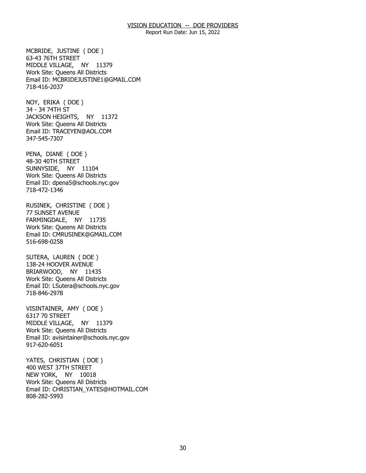Report Run Date: Jun 15, 2022

 MIDDLE VILLAGE, NY 11379 MCBRIDE, JUSTINE ( DOE ) 63-43 76TH STREET Work Site: Queens All Districts Email ID: [MCBRIDEJUSTINE1@GMAIL.COM](mailto:MCBRIDEJUSTINE1@GMAIL.COM) 718-416-2037

 JACKSON HEIGHTS, NY 11372 NOY, ERIKA ( DOE ) 34 - 34 74TH ST Work Site: Queens All Districts Email ID: [TRACEYEN@AOL.COM](mailto:TRACEYEN@AOL.COM)  347-545-7307

 SUNNYSIDE, NY 11104 PENA, DIANE ( DOE ) 48-30 40TH STREET Work Site: Queens All Districts Email ID: [dpena5@schools.nyc.gov](mailto:dpena5@schools.nyc.gov) 718-472-1346

 FARMINGDALE, NY 11735 RUSINEK, CHRISTINE ( DOE ) 77 SUNSET AVENUE Work Site: Queens All Districts Email ID: [CMRUSINEK@GMAIL.COM](mailto:CMRUSINEK@GMAIL.COM)  516-698-0258

 BRIARWOOD, NY 11435 SUTERA, LAUREN ( DOE ) 138-24 HOOVER AVENUE Work Site: Queens All Districts Email ID: [LSutera@schools.nyc.gov](mailto:LSutera@schools.nyc.gov) 718-846-2978

 MIDDLE VILLAGE, NY 11379 VISINTAINER, AMY ( DOE ) 6317 70 STREET Work Site: Queens All Districts Email ID: [avisintainer@schools.nyc.gov](mailto:avisintainer@schools.nyc.gov)  917-620-6051

 NEW YORK, NY 10018 YATES, CHRISTIAN ( DOE ) 400 WEST 37TH STREET Work Site: Queens All Districts Email ID: [CHRISTIAN\\_YATES@HOTMAIL.COM](mailto:CHRISTIAN_YATES@HOTMAIL.COM)  808-282-5993